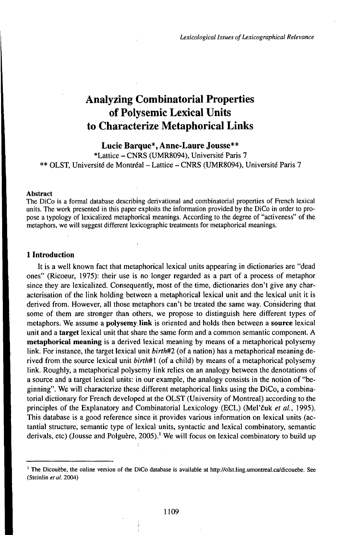# Analyzing Combinatorial Properties of Polysemic Lexical Units to Characterize Metaphorical Links

## **Lucie Barque\*, Anne-Laure Jousse\*\***

\*Lattice - CNRS (UMR8094), Université Paris <sup>7</sup> \*\* OLST, Université de Montréal - Lattice - CNRS (UMR8094), Université Paris <sup>7</sup>

#### Abstract

The DiCo is a formal database describing derivational and combinatorial properties of French lexical units. The work presented in this paper exploits the information provided by the DiCo in order to propose a typology of lexicalized metaphorical meanings. According to the degree of "activeness" of the metaphors, we will suggest different lexicographic treatments for metaphorical meanings.

## **1 Introduction**

It is a well known fact that metaphorical lexical units appearing in dictionaries are "dead ones" (Ricoeur, 1975): their use is no longer regarded as a part of a process of metaphor since they are lexicalized. Consequently, most of the time, dictionaries don't give any characterisation of the link holding between a metaphorical lexical unit and the lexical unit it is derived from. However, all those metaphors can't be treated the same way. Considering that some of them are stronger than others, we propose to distinguish here different types of metaphors. We assume a **polysemylink** is oriented and holds then between a **source** lexical unit and a **target** lexical unit that share the same form and a common semantic component. A **metaphorical meaning** is a derived lexical meaning by means of a metaphorical polysemy link. For instance, the target lexical unit *birth#2* (of a nation) has a metaphorical meaning derived from the source lexical unit *birth#i* (of a child) by means of a metaphorical polysemy link. Roughly, a metaphorical polysemy link relies on an analogy between the denotations of a source and a target lexical units: in our example, the analogy consists in the notion of "beginning". We will characterize these different metaphorical links using the DiCo, a combinatorial dictionary for French developed at the OLST (University of Montreal) according to the principles of the Explanatory and Combinatorial Lexicology (ECL) (Meľčuk *el al.,* 1995). This database is a good reference since it provides various information on lexical units (actantial structure, semantic type of lexical units, syntactic and lexical combinatory, semantic derivals, etc) (Jousse and Polguère, 2005).<sup>1</sup> We will focus on lexical combinatory to build up

<sup>1</sup> The Dicouèbe, the online version of the DiCo database is available at http://olst.ling.umontreal.ca/dicouebe. See (Steinlin et al. 2004)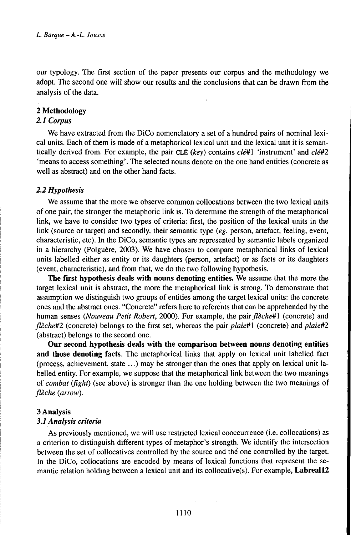our typology. The first section of the paper presents our corpus and the methodology we adopt. The second one will show our results and the conclusions that can be drawn from the analysis of the data.

# **2 Methodology**

## *2.1 Corpus*

We have extracted from the DiCo nomenclatory a set of a hundred pairs of nominal lexical units. Each of them is made of a metaphorical lexical unit and the lexical unit it is semantically derived from. For example, the pair CLÉ *(key)* contains *clé#1* 'instrument' and *clé#2* 'means to access something'. The selected nouns denote on the one hand entities (concrete as well as abstract) and on the other hand facts.

#### *2.2 Hypothesis*

We assume that the more we observe common collocations between the two lexical units of one pair, the stronger the metaphoric link is. To determine the strength of the metaphorical link, we have to consider two types of criteria: first, the position of the lexical units in the link (source or target) and secondly, their semantic type *(eg.* person, artefact, feeling, event, characteristic, etc). In the DiCo, semantic types are represented by semantic labels organized in a hierarchy (Polguère, 2003). We have chosen to compare metaphorical links of lexical units labelled either as entity or its daughters (person, artefact) or as facts or its daughters (event, characteristic), and from that, we do the two following hypothesis.

**The first hypothesis deals with nouns denoting entities.** We assume that the more the target lexical unit is abstract, the more the metaphorical link is strong. To demonstrate that assumption we distinguish two groups of entities among the target lexical units: the concrete ones and the abstract ones. "Concrete" refers here to referents that can be apprehended by the human senses *(Nouveau Petit Robert,* 2000). For example, the *pairfleche#l* (concrete) and *fleche#2* (concrete) belongs to the first set, whereas the pair *plaie#\* (concrete) and *plaie#2* (abstract) belongs to the second one.

**Our second hypothesis deals with the comparison between nouns denoting entities and those denoting facts.** The metaphorical links that apply on lexical unit labelled fact (process, achievement, state ...) may be stronger than the ones that apply on lexical unit labelled entity. For example, we suppose that the metaphorical link between the two meanings of *combat* (*fight*) (see above) is stronger than the one holding between the two meanings of *flèche (arrow).*

#### 3 **Analysis**

#### *3.1 Analysis criteria*

As previously mentioned, we will use restricted lexical cooccurrence (i.e. collocations) as a criterion to distinguish different types of metaphor's strength. We identify the intersection between the set of collocatives controlled by the source and the one controlled by the target. In the DiCo, collocations are encoded by means of lexical functions that represent the semantic relation holding between a lexical unit and its collocative(s). For example, **Labreall2**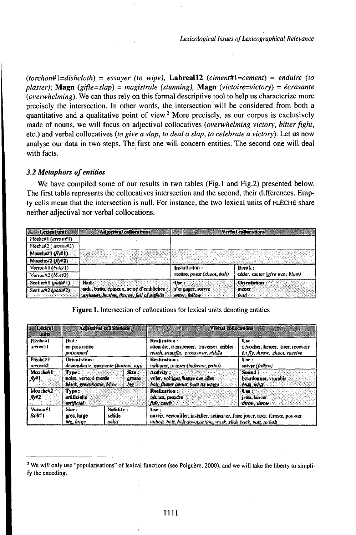$(torchon\#1=dishcloth)$  = essuyer (to wipe), Labreal12 (ciment#1=cement) = enduire (to plaster); Magn (gifle=slap) = magistrale (stunning), Magn (victoire=victory) = écrasante (overwhelming). We can thus rely on this formal descriptive tool to help us characterize more precisely the intersection. In other words, the intersection will be considered from both a quantitative and a qualitative point of view.<sup>2</sup> More precisely, as our corpus is exclusively made of nouns, we will focus on adjectival collocatives (overwhelming victory, bitter fight, etc.) and verbal collocatives (to give a slap, to deal a slap, to celebrate a victory). Let us now analyse our data in two steps. The first one will concern entities. The second one will deal with facts.

## 3.2 Metaphors of entities

We have compiled some of our results in two tables (Fig.1 and Fig.2) presented below. The first table represents the collocatives intersection and the second, their differences. Empty cells mean that the intersection is null. For instance, the two lexical units of FLÈCHE share neither adjectival nor verbal collocations.

| <b>Estat Lexical unit</b>         | Adjectival collocations                        |                               | Verbal collocations            |
|-----------------------------------|------------------------------------------------|-------------------------------|--------------------------------|
| Flöche#1 (arrow#1)                |                                                |                               |                                |
| $F$ loche $F$ 2 ( $a$ rzyn $#2$ ) |                                                |                               |                                |
| Monche#1 (Mv#1)                   |                                                |                               |                                |
| Monche#2 $(Md2)$                  |                                                |                               |                                |
| Verwast (bolis)                   |                                                | Instaliation:                 | Bresk :                        |
|                                   |                                                |                               |                                |
| Vorrou#2 (blor#2)                 |                                                | mettre, poses (shoot, bott)   | céder, sauter (give way, blow) |
| Sentient L (mathi 1)              | Had :<br>arda, baita, épineax, seme d'embûches | : Llae r<br>s'engager, suivre | <b>Orientation</b> :           |

Figure 1. Intersection of collocations for lexical units denoting entities

| <b>Exical</b><br>unts                      |                                                                     | Adiectival callocations |                                | <b>Verhal collocations</b>                                                                                                                                | <b>1980 - 1980</b><br><b>CANADA</b>                                         |
|--------------------------------------------|---------------------------------------------------------------------|-------------------------|--------------------------------|-----------------------------------------------------------------------------------------------------------------------------------------------------------|-----------------------------------------------------------------------------|
| Fleche#1<br>arrenet L                      | Rnd:<br>empoisonnée<br>mannon                                       |                         |                                | Realization:<br>atteindre, franspereer, traverser, cribler<br>mach, transfix, cross over, riddle                                                          | Use:<br>decocher, limeer, tirer, roccvoir<br>let fly, throw, shoot, receive |
| Flechc#2<br>аттый 2                        | <b>Orientation</b> :<br>descendante, montante (bottom, too).        |                         |                                | Realization:<br>indiquer, painter (bubsate, pobu)                                                                                                         | Use :<br>suivre (follow)                                                    |
| Monche <sup>W1</sup><br>$\mathbf{A}^{(0)}$ | Type:<br>noire, verte, à merde-<br>black, greenbattle, blow         |                         | Stre :<br><b>BITASC</b><br>ાતર | Activity :<br>voler, vedtiger, battre des niles<br>boll, flutter about, beat its wores                                                                    | Sonnd :<br>bourdonner, vrombir<br>ANCE WITH                                 |
| Mouchev <sub>2</sub><br>6x2                | Type:<br>entificielle<br>artificial:                                |                         |                                | Realization:<br>pechez, prendre.<br>Arh, catch                                                                                                            | The :<br>jeter, lancer.<br>during throw                                     |
| VernouH1<br>Bolit 1                        | Solidity:<br>Sixe :<br>solide<br>novs, large<br>solid<br>bly, large |                         |                                | Lise:<br>oovrig, verroudler, installer, actionage, faire jouer, tirer, femer, pousser-<br>wibolt, bolt, belt down, action, wark, slide back, balt, ambolt |                                                                             |

<sup>&</sup>lt;sup>2</sup> We will only use "popularisations" of lexical functions (see Polguère, 2000), and we will take the liberty to simplify the encoding.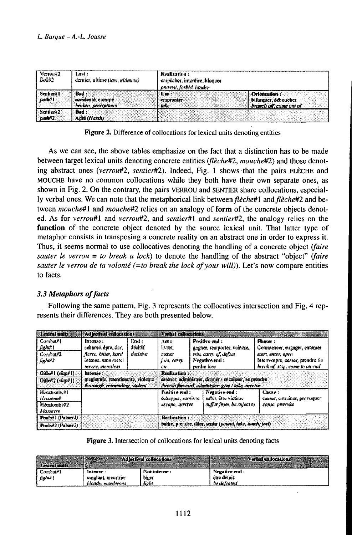| Vernou22<br><b>BoM62</b>    | Last :<br>dernier, altime (hast, ultimate) | Realization:<br>empêcher, interdire, bloquer<br>prevent, forbid, hinder                      |  |
|-----------------------------|--------------------------------------------|----------------------------------------------------------------------------------------------|--|
| Senticard I<br>DATANY I     | accidenté, escarné.<br>broken, precipitons | Orientation:<br>Um:<br>bifungser, déboucher<br>cannounter.<br>Aranch off, come on of<br>take |  |
| Sentical 2<br><b>cum/m2</b> | : Had<br>Anre (Harsh)                      |                                                                                              |  |

Figure 2. Difference of collocations for lexical units denoting entities

As we can see, the above tables emphasize on the fact that a distinction has to be made between target lexical units denoting concrete entities (flèche#2, mouche#2) and those denoting abstract ones (verrou#2, sentier#2). Indeed, Fig. 1 shows that the pairs FLECHE and MOUCHE have no common collocations while they both have their own separate ones, as shown in Fig. 2. On the contrary, the pairs VERROU and SENTIER share collocations, especially verbal ones. We can note that the metaphorical link between fleche#1 and fleche#2 and between mouche#1 and mouche#2 relies on an analogy of form of the concrete objects denoted. As for verrou#1 and verrou#2, and sentier#1 and sentier#2, the analogy relies on the function of the concrete object denoted by the source lexical unit. That latter type of metaphor consists in transposing a concrete reality on an abstract one in order to express it. Thus, it seems normal to use collocatives denoting the handling of a concrete object (faire sauter le verrou = to break a lock) to denote the handling of the abstract "object" (faire sauter le verrou de ta volonté (=to break the lock of your will)). Let's now compare entities to facts.

## 3.3 Metaphors of facts

Following the same pattern, Fig. 3 represents the collocatives intersection and Fig. 4 represents their differences. They are both presented below.

| Lexical units           | Adlectival collocations                                              |          | Vorbal collocations                  |                                                                                                           |                                                                     |
|-------------------------|----------------------------------------------------------------------|----------|--------------------------------------|-----------------------------------------------------------------------------------------------------------|---------------------------------------------------------------------|
| Combut#1                | Intense:                                                             | End :    | Acte                                 | Positive end:                                                                                             | Phases:                                                             |
| Aghait                  | nchamd, apre, dur.                                                   | décisif  | livrer.                              | gagner, remporter, vainere,                                                                               | Commencer, engager, entamer                                         |
| Combat#2                | fierce, bitter, hard                                                 | decisive | пканг                                | win, carry of, defeat                                                                                     | start. enter, apen                                                  |
| fight?2                 | intense, suas merci<br>severe, mercilest                             |          | folls, carry<br>CH3                  | Negative end:<br>perdre lote                                                                              | Interrompre, cesser, prendre tin<br>break of, stop, come to an onl- |
| Coller I (slap+1)       | Intense:                                                             |          | <b>Realization:</b>                  |                                                                                                           |                                                                     |
| Gilles'2 (skip#1)       | mugistrule, retentionante, violente<br>thorough, resounding, violent |          |                                      | assener, administrer, donner / enceasser, se preadre<br>thrusth forward, administer, give / take, receive |                                                                     |
| Hécatonhes!<br>Hecatomb |                                                                      |          | Positive end :<br>öchapper, survivre | Negative cad:<br>subir, être victime                                                                      | Cause:<br>causer, entrainer, provoquer                              |
| Hecatombe?2             |                                                                      |          | escape surche                        | suffer from, be sufect to                                                                                 | emm, provoke                                                        |
| Massacre                |                                                                      |          |                                      |                                                                                                           |                                                                     |
| Poulse 1 (Pulser J)     |                                                                      |          | Realization:                         |                                                                                                           |                                                                     |
| Punks?2 (Pulse?2)       |                                                                      |          |                                      | buttre, prendre, tûter, sentir (powerd, take, touch, feel)                                                |                                                                     |

|  | Figure 3. Intersection of collocations for lexical units denoting facts |  |  |
|--|-------------------------------------------------------------------------|--|--|
|  |                                                                         |  |  |

|                         |                     | Adletival collocations) | <b>William Verbal collocations</b> |
|-------------------------|---------------------|-------------------------|------------------------------------|
| I Combut <sup>s</sup> 1 | Intense:            | Not intense:            | Negative end :                     |
| ا تسابهم ]              | sunglant, meartrier | leger                   | être détait                        |
|                         | bloods, murderous   | light                   | be defensed                        |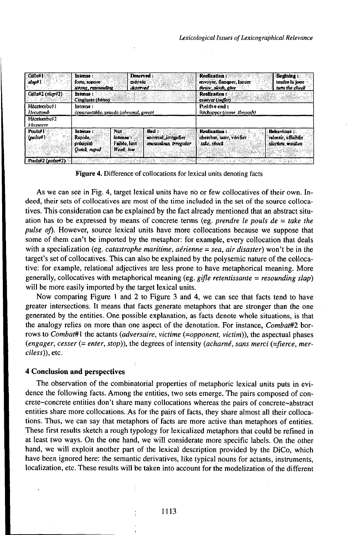| Gifle*1<br>slape ]            | <b>Deserved</b><br>Interise<br>forte sonore<br>méritée<br>SITONG, PROGRAMMENT C<br>diserved.                                                                | Realization:<br>Begining:<br>tendre la joue<br>envoyer, flanguer, lancer<br>turn the clieck<br>throw, slock, give      |
|-------------------------------|-------------------------------------------------------------------------------------------------------------------------------------------------------------|------------------------------------------------------------------------------------------------------------------------|
| Giflex 2 (skapil 2)<br>しんこうがい | Intense:<br>Cinglante (bithor)                                                                                                                              | <b>Realization:</b><br>casayer (swfer):                                                                                |
| Hecatembe#1<br>Hecatomb       | Intense:<br>connevantable, grande (abusonal, great)                                                                                                         | Positive end:<br>Réchapper (come through)                                                                              |
| HA-annumber 3<br>Alessicre    |                                                                                                                                                             |                                                                                                                        |
| $P$ misė $1$<br>(pulsed)      | Bad :<br>Not:<br>Interese ?<br>anomal inegulier<br>:Rapido<br>intense<br>Fable lent<br>amountlous, trrogular<br>erocipité<br><b>Heak</b> low<br>Outch rapid | <b>Behaviour:</b><br>Realization:<br>chercher, tater, verifier<br>ralentir, uffumfir<br>take, check<br>slacken, weaken |
| Poulse 2 (pulser 2)           | ことがいかいの<br>Colorett Co                                                                                                                                      | 1984 SANA<br>in as the US                                                                                              |

Figure 4. Difference of collocations for lexical units denoting facts

As we can see in Fig. 4, target lexical units have no or few collocatives of their own. Indeed, their sets of collocatives are most of the time included in the set of the source collocatives. This consideration can be explained by the fact already mentioned that an abstract situation has to be expressed by means of concrete terms (eg. prendre le pouls  $de = take the$ pulse of). However, source lexical units have more collocations because we suppose that some of them can't be imported by the metaphor: for example, every collocation that deals with a specialization (eg. *catastrophe maritime*, *aérienne* = sea, *air disaster*) won't be in the target's set of collocatives. This can also be explained by the polysemic nature of the collocative: for example, relational adjectives are less prone to have metaphorical meaning. More generally, collocatives with metaphorical meaning (eg.  $g$ ifle retentissante = resounding slap) will be more easily imported by the target lexical units.

Now comparing Figure 1 and 2 to Figure 3 and 4, we can see that facts tend to have greater intersections. It means that facts generate metaphors that are stronger than the one generated by the entities. One possible explanation, as facts denote whole situations, is that the analogy relies on more than one aspect of the denotation. For instance, *Combat#2* borrows to Combat#1 the actants (adversaire, victime (=opponent, victim)), the aspectual phases (engager, cesser (= enter, stop)), the degrees of intensity (acharné, sans merci (=fierce, merciless)), etc.

#### **4 Conclusion and perspectives**

The observation of the combinatorial properties of metaphoric lexical units puts in evidence the following facts. Among the entities, two sets emerge. The pairs composed of concrete~concrete entities don't share many collocations whereas the pairs of concrete~abstract entities share more collocations. As for the pairs of facts, they share almost all their collocations. Thus, we can say that metaphors of facts are more active than metaphors of entities. These first results sketch a rough typology for lexicalized metaphors that could be refined in at least two ways. On the one hand, we will considerate more specific labels. On the other hand, we will exploit another part of the lexical description provided by the DiCo, which have been ignored here: the semantic derivatives, like typical nouns for actants, instruments, localization, etc. These results will be taken into account for the modelization of the different